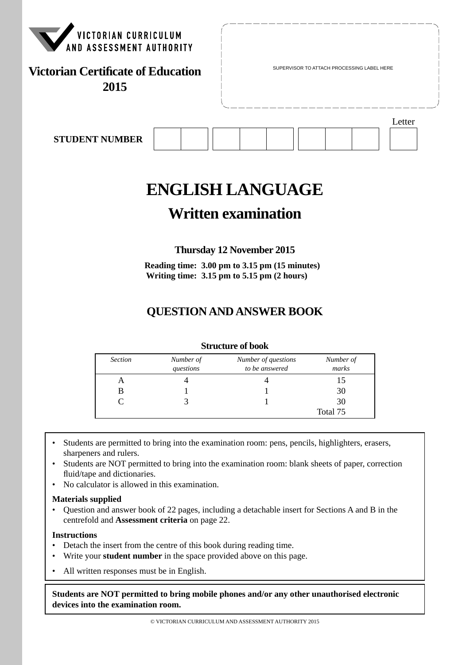

# **ENGLISH LANGUAGE**

# **Written examination**

## **Thursday 12 November 2015**

**Reading time: 3.00 pm to 3.15 pm (15 minutes) Writing time: 3.15 pm to 5.15 pm (2 hours)**

# **QUESTION AND ANSWER BOOK**

#### **Structure of book**

| <b>Section</b> | Number of<br>questions | Number of questions<br>to be answered | Number of<br>marks |
|----------------|------------------------|---------------------------------------|--------------------|
|                |                        |                                       |                    |
| B              |                        |                                       | 30                 |
|                |                        |                                       | 30                 |
|                |                        |                                       | Total 75           |

- Students are permitted to bring into the examination room: pens, pencils, highlighters, erasers, sharpeners and rulers.
- Students are NOT permitted to bring into the examination room: blank sheets of paper, correction fluid/tape and dictionaries.
- No calculator is allowed in this examination.

#### **Materials supplied**

• Question and answer book of 22 pages, including a detachable insert for Sections A and B in the centrefold and **Assessment criteria** on page 22.

#### **Instructions**

- Detach the insert from the centre of this book during reading time.
- Write your **student number** in the space provided above on this page.
- All written responses must be in English.

**Students are NOT permitted to bring mobile phones and/or any other unauthorised electronic devices into the examination room.**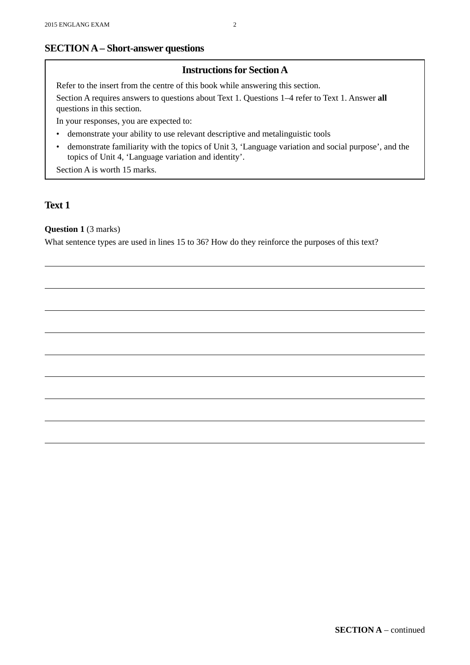#### **SECTION A – Short-answer questions**

#### **Instructions for Section A**

Refer to the insert from the centre of this book while answering this section.

Section A requires answers to questions about Text 1. Questions 1–4 refer to Text 1. Answer **all** questions in this section.

In your responses, you are expected to:

- demonstrate your ability to use relevant descriptive and metalinguistic tools
- demonstrate familiarity with the topics of Unit 3, 'Language variation and social purpose', and the topics of Unit 4, 'Language variation and identity'.

Section A is worth 15 marks.

#### **Text 1**

#### **Question 1** (3 marks)

What sentence types are used in lines 15 to 36? How do they reinforce the purposes of this text?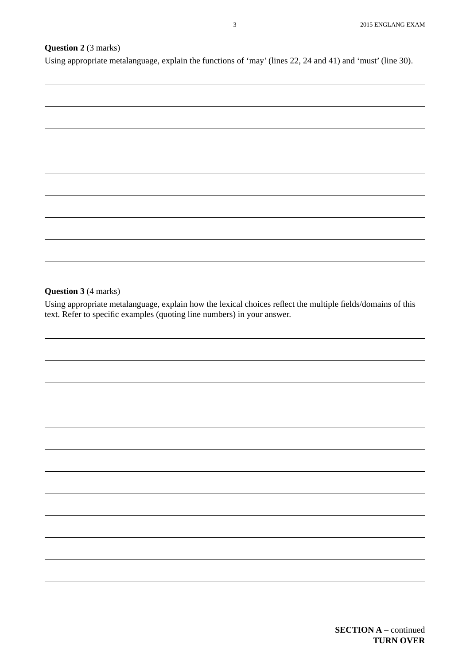#### **Question 2** (3 marks)

Using appropriate metalanguage, explain the functions of 'may' (lines 22, 24 and 41) and 'must' (line 30).

#### **Question 3** (4 marks)

Using appropriate metalanguage, explain how the lexical choices reflect the multiple fields/domains of this text. Refer to specific examples (quoting line numbers) in your answer.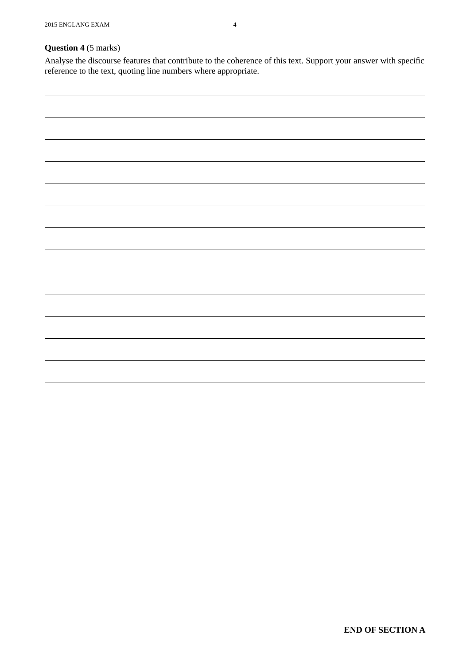Analyse the discourse features that contribute to the coherence of this text. Support your answer with specific reference to the text, quoting line numbers where appropriate.

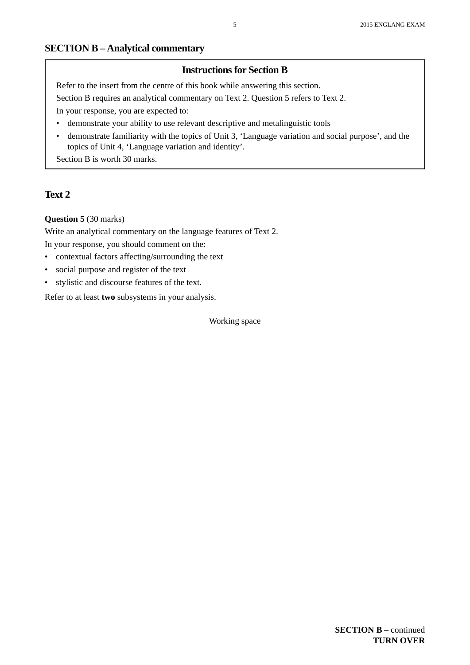#### **SECTION B – Analytical commentary**

#### **Instructions for Section B**

Refer to the insert from the centre of this book while answering this section.

Section B requires an analytical commentary on Text 2. Question 5 refers to Text 2.

In your response, you are expected to:

- demonstrate your ability to use relevant descriptive and metalinguistic tools
- demonstrate familiarity with the topics of Unit 3, 'Language variation and social purpose', and the topics of Unit 4, 'Language variation and identity'.

Section B is worth 30 marks.

#### **Text 2**

#### **Question 5** (30 marks)

Write an analytical commentary on the language features of Text 2. In your response, you should comment on the:

- contextual factors affecting/surrounding the text
- social purpose and register of the text
- stylistic and discourse features of the text.

Refer to at least **two** subsystems in your analysis.

Working space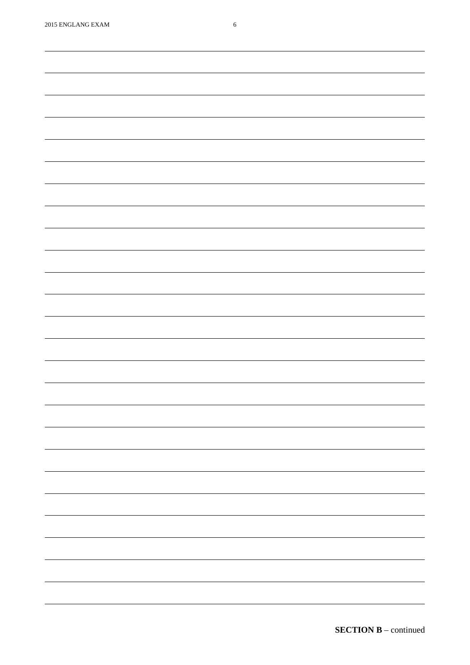| <u> The Communication of the Communication</u> |
|------------------------------------------------|
|                                                |
|                                                |
|                                                |
|                                                |
|                                                |
|                                                |
|                                                |
|                                                |
|                                                |
|                                                |
|                                                |
|                                                |
|                                                |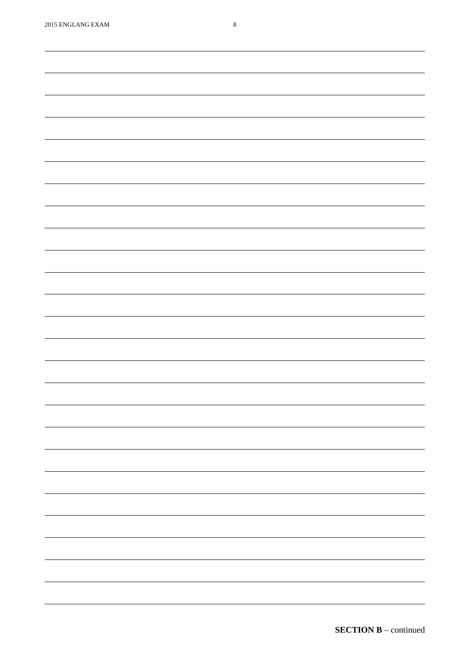| $\overline{\phantom{0}}$ |
|--------------------------|
|                          |
|                          |
|                          |
|                          |
|                          |
|                          |
|                          |
|                          |
|                          |
|                          |
|                          |
|                          |
|                          |
|                          |
|                          |
|                          |
|                          |
|                          |
|                          |
|                          |
|                          |
|                          |
|                          |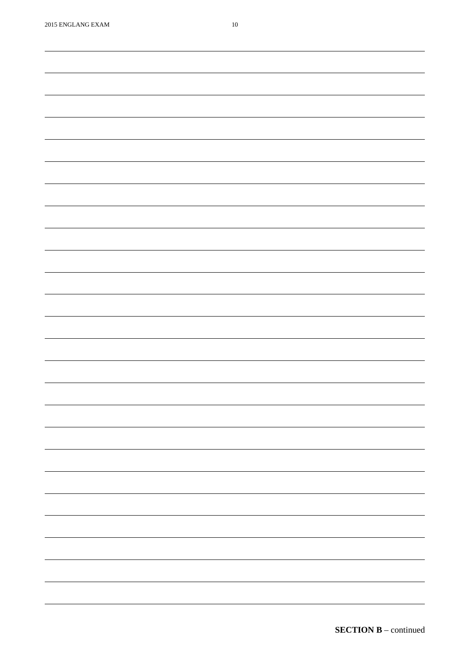| $2015$ ENGLANG EXAM | $10\,$                   |
|---------------------|--------------------------|
|                     |                          |
|                     |                          |
|                     |                          |
|                     |                          |
|                     |                          |
|                     |                          |
|                     |                          |
|                     |                          |
|                     |                          |
|                     |                          |
|                     |                          |
|                     |                          |
|                     |                          |
|                     |                          |
|                     |                          |
|                     |                          |
|                     |                          |
|                     |                          |
|                     |                          |
|                     |                          |
|                     |                          |
|                     |                          |
|                     |                          |
|                     |                          |
|                     |                          |
|                     |                          |
|                     |                          |
|                     |                          |
|                     |                          |
|                     |                          |
|                     |                          |
|                     |                          |
|                     |                          |
|                     |                          |
|                     |                          |
|                     | $\overline{\phantom{0}}$ |
|                     |                          |
|                     | $\overline{\phantom{0}}$ |
|                     |                          |
|                     |                          |
|                     |                          |
|                     | $\overline{\phantom{0}}$ |
|                     |                          |
|                     | $\sim$ 100 $\sim$        |
|                     |                          |
|                     |                          |
|                     |                          |
|                     | $\overline{\phantom{0}}$ |
|                     |                          |
|                     | $\overline{\phantom{0}}$ |
|                     |                          |
|                     |                          |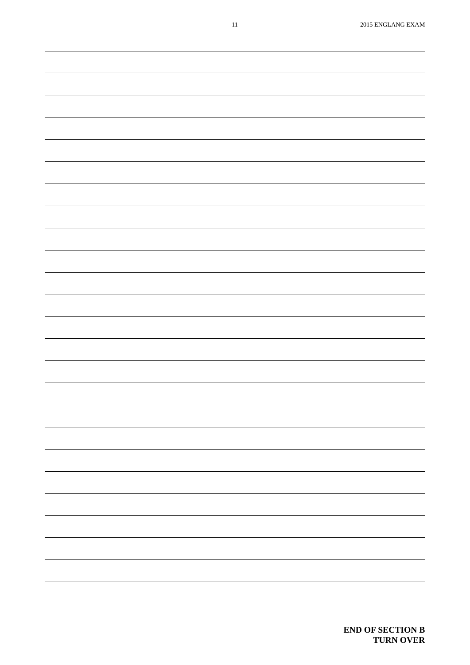| $\overline{\phantom{0}}$ |
|--------------------------|
|                          |
|                          |
|                          |
|                          |
|                          |
|                          |
|                          |
|                          |
| $\overline{\phantom{0}}$ |
|                          |
|                          |
|                          |
|                          |
|                          |
|                          |
|                          |
|                          |
|                          |
|                          |
|                          |
| $\overline{\phantom{0}}$ |
|                          |
|                          |
| $\overline{\phantom{a}}$ |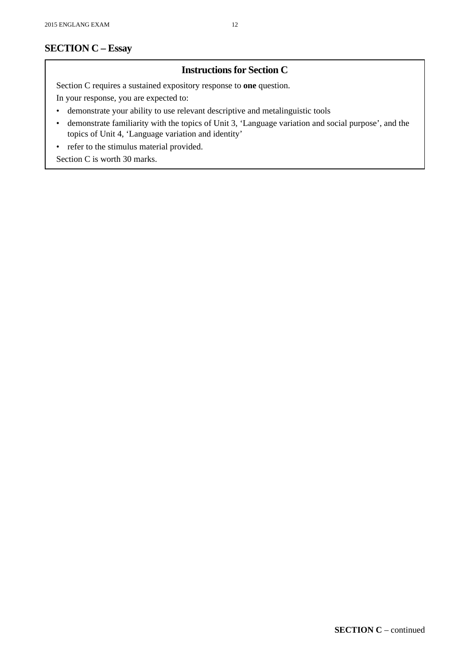## **SECTION C – Essay**

#### **Instructions for Section C**

Section C requires a sustained expository response to **one** question.

In your response, you are expected to:

- demonstrate your ability to use relevant descriptive and metalinguistic tools
- demonstrate familiarity with the topics of Unit 3, 'Language variation and social purpose', and the topics of Unit 4, 'Language variation and identity'
- refer to the stimulus material provided.

Section C is worth 30 marks.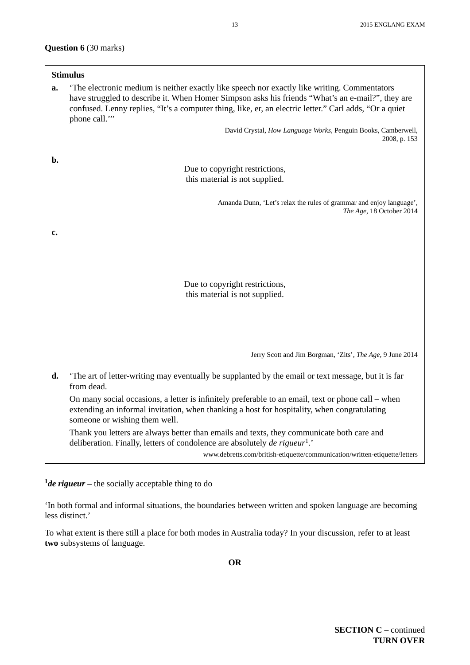#### **Question 6** (30 marks)

|    | <b>Stimulus</b>                                                                                                                                                                                                                                                                                                           |
|----|---------------------------------------------------------------------------------------------------------------------------------------------------------------------------------------------------------------------------------------------------------------------------------------------------------------------------|
| a. | The electronic medium is neither exactly like speech nor exactly like writing. Commentators<br>have struggled to describe it. When Homer Simpson asks his friends "What's an e-mail?", they are<br>confused. Lenny replies, "It's a computer thing, like, er, an electric letter." Carl adds, "Or a quiet<br>phone call." |
|    | David Crystal, How Language Works, Penguin Books, Camberwell,<br>2008, p. 153                                                                                                                                                                                                                                             |
| b. | Due to copyright restrictions,<br>this material is not supplied.                                                                                                                                                                                                                                                          |
|    | Amanda Dunn, 'Let's relax the rules of grammar and enjoy language',<br>The Age, 18 October 2014                                                                                                                                                                                                                           |
| c. |                                                                                                                                                                                                                                                                                                                           |
|    | Due to copyright restrictions,<br>this material is not supplied.                                                                                                                                                                                                                                                          |
|    | Jerry Scott and Jim Borgman, 'Zits', The Age, 9 June 2014                                                                                                                                                                                                                                                                 |
| d. | The art of letter-writing may eventually be supplanted by the email or text message, but it is far<br>from dead.                                                                                                                                                                                                          |
|    | On many social occasions, a letter is infinitely preferable to an email, text or phone call – when<br>extending an informal invitation, when thanking a host for hospitality, when congratulating<br>someone or wishing them well.                                                                                        |
|    | Thank you letters are always better than emails and texts, they communicate both care and<br>deliberation. Finally, letters of condolence are absolutely <i>de rigueur</i> <sup>1</sup> .                                                                                                                                 |
|    | www.debretts.com/british-etiquette/communication/written-etiquette/letters                                                                                                                                                                                                                                                |

**<sup>1</sup>***de rigueur* – the socially acceptable thing to do

'In both formal and informal situations, the boundaries between written and spoken language are becoming less distinct.'

To what extent is there still a place for both modes in Australia today? In your discussion, refer to at least **two** subsystems of language.

**OR**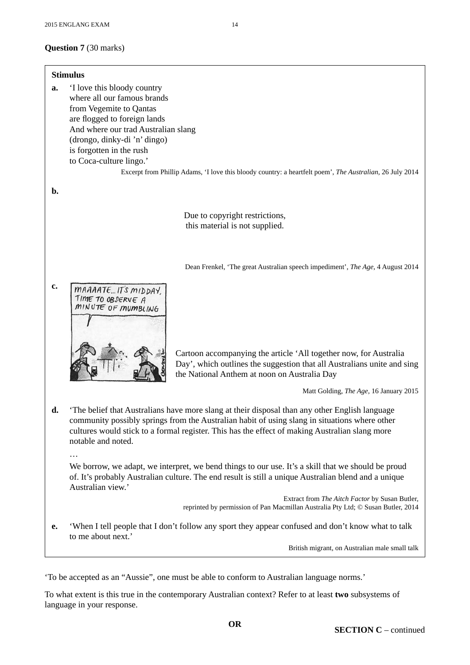**Stimulus a.** 'I love this bloody country where all our famous brands from Vegemite to Qantas are flogged to foreign lands And where our trad Australian slang (drongo, dinky-di 'n' dingo) is forgotten in the rush to Coca-culture lingo.' Excerpt from Phillip Adams, 'I love this bloody country: a heartfelt poem', *The Australian*, 26 July 2014 **b.**  Due to copyright restrictions, this material is not supplied.Dean Frenkel, 'The great Australian speech impediment', *The Age*, 4 August 2014 **c.** MAAAATE IT'S MIDDAY TIME TO OBSERVE A MINUTE OF MUMBLING Cartoon accompanying the article 'All together now, for Australia Day', which outlines the suggestion that all Australians unite and sing the National Anthem at noon on Australia Day Matt Golding, *The Age*, 16 January 2015 **d.** 'The belief that Australians have more slang at their disposal than any other English language community possibly springs from the Australian habit of using slang in situations where other cultures would stick to a formal register. This has the effect of making Australian slang more notable and noted. … We borrow, we adapt, we interpret, we bend things to our use. It's a skill that we should be proud of. It's probably Australian culture. The end result is still a unique Australian blend and a unique Australian view.' Extract from *The Aitch Factor* by Susan Butler, reprinted by permission of Pan Macmillan Australia Pty Ltd; © Susan Butler, 2014 **e.** 'When I tell people that I don't follow any sport they appear confused and don't know what to talk to me about next.' British migrant, on Australian male small talk 'To be accepted as an "Aussie", one must be able to conform to Australian language norms.'

To what extent is this true in the contemporary Australian context? Refer to at least **two** subsystems of language in your response.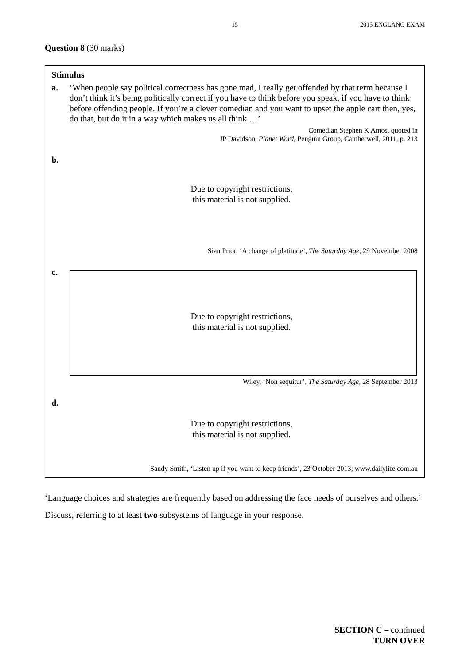#### **Question 8** (30 marks)

|    | <b>Stimulus</b>                                                                                                                                                                                                                                                                                                                                                               |  |  |  |
|----|-------------------------------------------------------------------------------------------------------------------------------------------------------------------------------------------------------------------------------------------------------------------------------------------------------------------------------------------------------------------------------|--|--|--|
| a. | 'When people say political correctness has gone mad, I really get offended by that term because I<br>don't think it's being politically correct if you have to think before you speak, if you have to think<br>before offending people. If you're a clever comedian and you want to upset the apple cart then, yes,<br>do that, but do it in a way which makes us all think ' |  |  |  |
|    | Comedian Stephen K Amos, quoted in<br>JP Davidson, Planet Word, Penguin Group, Camberwell, 2011, p. 213                                                                                                                                                                                                                                                                       |  |  |  |
| b. |                                                                                                                                                                                                                                                                                                                                                                               |  |  |  |
|    | Due to copyright restrictions,                                                                                                                                                                                                                                                                                                                                                |  |  |  |
|    | this material is not supplied.                                                                                                                                                                                                                                                                                                                                                |  |  |  |
|    |                                                                                                                                                                                                                                                                                                                                                                               |  |  |  |
|    | Sian Prior, 'A change of platitude', The Saturday Age, 29 November 2008                                                                                                                                                                                                                                                                                                       |  |  |  |
| c. | Due to copyright restrictions,<br>this material is not supplied.                                                                                                                                                                                                                                                                                                              |  |  |  |
|    |                                                                                                                                                                                                                                                                                                                                                                               |  |  |  |
|    | Wiley, 'Non sequitur', The Saturday Age, 28 September 2013                                                                                                                                                                                                                                                                                                                    |  |  |  |
| d. | Due to copyright restrictions,<br>this material is not supplied.                                                                                                                                                                                                                                                                                                              |  |  |  |
|    | Sandy Smith, 'Listen up if you want to keep friends', 23 October 2013; www.dailylife.com.au                                                                                                                                                                                                                                                                                   |  |  |  |

'Language choices and strategies are frequently based on addressing the face needs of ourselves and others.'

Discuss, referring to at least **two** subsystems of language in your response.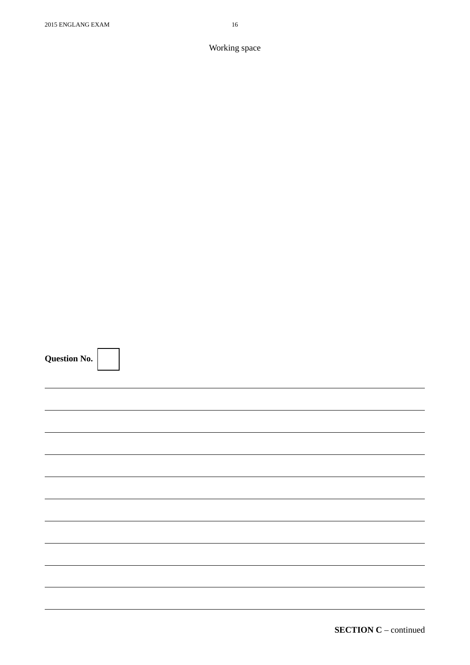| <b>Question No.</b> |  |  |
|---------------------|--|--|
|                     |  |  |
|                     |  |  |
|                     |  |  |
|                     |  |  |
|                     |  |  |
|                     |  |  |
|                     |  |  |
|                     |  |  |
|                     |  |  |
|                     |  |  |

**SECTION C** – continued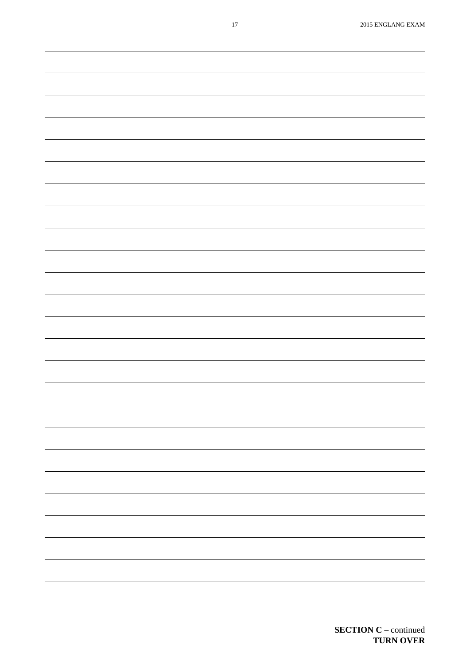|  | -                        |
|--|--------------------------|
|  |                          |
|  | $\overline{\phantom{0}}$ |
|  |                          |
|  |                          |
|  | -                        |
|  |                          |
|  |                          |
|  |                          |
|  |                          |
|  |                          |
|  | ÷,                       |
|  |                          |
|  |                          |
|  |                          |
|  |                          |
|  |                          |
|  |                          |
|  |                          |
|  |                          |
|  |                          |
|  |                          |
|  |                          |
|  |                          |
|  |                          |
|  |                          |
|  |                          |
|  |                          |
|  | $\overline{\phantom{0}}$ |
|  |                          |
|  | Ξ.                       |
|  |                          |
|  |                          |
|  | -                        |
|  |                          |
|  | -                        |
|  |                          |
|  |                          |
|  |                          |
|  |                          |
|  |                          |
|  |                          |
|  |                          |

**SECTION C** – continued

**TURN OVER**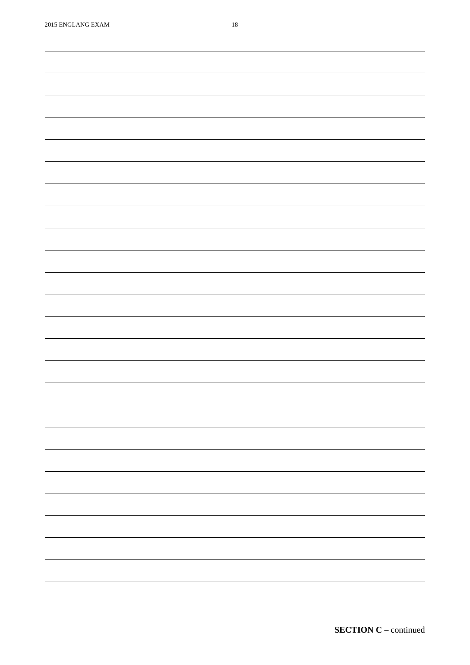| $2010$ Ervollinvo Elimini | $\sim$                   |
|---------------------------|--------------------------|
|                           |                          |
|                           |                          |
|                           |                          |
|                           |                          |
|                           |                          |
|                           |                          |
|                           |                          |
|                           |                          |
|                           |                          |
|                           |                          |
|                           |                          |
|                           |                          |
|                           |                          |
|                           |                          |
|                           |                          |
|                           |                          |
|                           |                          |
|                           |                          |
|                           |                          |
|                           |                          |
|                           |                          |
|                           |                          |
|                           |                          |
|                           |                          |
|                           |                          |
|                           |                          |
|                           |                          |
|                           |                          |
|                           |                          |
|                           |                          |
|                           |                          |
|                           |                          |
|                           |                          |
|                           |                          |
|                           |                          |
|                           |                          |
|                           |                          |
|                           |                          |
|                           |                          |
|                           |                          |
|                           |                          |
|                           |                          |
|                           |                          |
|                           |                          |
|                           |                          |
|                           |                          |
|                           | $\sim$ $\sim$            |
|                           |                          |
|                           |                          |
|                           |                          |
|                           |                          |
|                           |                          |
|                           |                          |
|                           | $\overline{\phantom{a}}$ |
|                           |                          |
|                           |                          |
|                           |                          |
|                           |                          |
|                           |                          |
|                           |                          |
|                           |                          |
|                           |                          |
|                           | -                        |
|                           |                          |
|                           |                          |
|                           |                          |
|                           |                          |

**SECTION C** – continued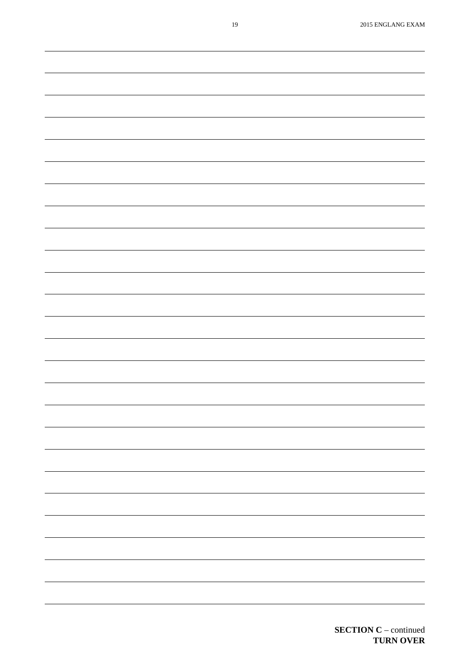| $\overline{\phantom{0}}$ |
|--------------------------|
|                          |
|                          |
|                          |
|                          |
| -                        |
|                          |
|                          |
|                          |
|                          |
|                          |
|                          |
|                          |
|                          |
|                          |
| ÷,                       |
|                          |
|                          |
|                          |
|                          |
| ÷,                       |
|                          |
|                          |
|                          |
|                          |
|                          |
|                          |
|                          |
|                          |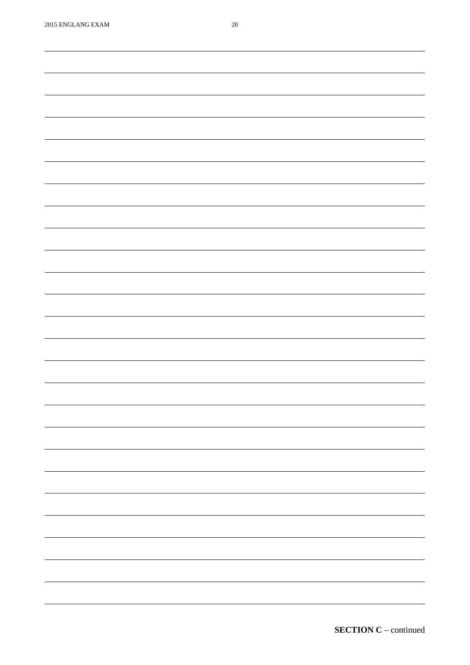| <b>2013 LINOLATIO LATIM</b> | $\sim$                   |
|-----------------------------|--------------------------|
|                             |                          |
|                             |                          |
|                             |                          |
|                             |                          |
|                             |                          |
|                             |                          |
|                             |                          |
|                             |                          |
|                             |                          |
|                             |                          |
|                             |                          |
|                             |                          |
|                             |                          |
|                             |                          |
|                             |                          |
|                             |                          |
|                             |                          |
|                             |                          |
|                             |                          |
|                             |                          |
|                             |                          |
|                             |                          |
|                             |                          |
|                             |                          |
|                             |                          |
|                             |                          |
|                             |                          |
|                             |                          |
|                             |                          |
|                             |                          |
|                             |                          |
|                             |                          |
|                             |                          |
|                             |                          |
|                             |                          |
|                             |                          |
|                             |                          |
|                             |                          |
|                             |                          |
|                             |                          |
|                             |                          |
|                             |                          |
|                             |                          |
|                             |                          |
|                             |                          |
|                             |                          |
|                             |                          |
|                             |                          |
|                             |                          |
|                             |                          |
|                             |                          |
|                             |                          |
|                             |                          |
|                             | $\overline{\phantom{0}}$ |
|                             |                          |
|                             |                          |
|                             |                          |
|                             |                          |
|                             |                          |
|                             |                          |
|                             |                          |
|                             |                          |
|                             | $\overline{\phantom{0}}$ |
|                             |                          |
|                             |                          |
|                             |                          |
|                             |                          |
|                             |                          |
|                             |                          |
|                             |                          |
|                             |                          |
|                             | $\overline{\phantom{0}}$ |
|                             |                          |
|                             |                          |
|                             |                          |
|                             |                          |
|                             |                          |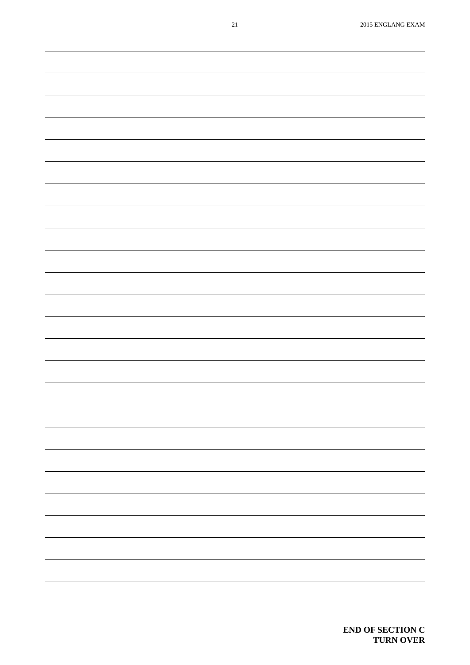| $21\,$ | 2015 ENGLANG EXAM                                                                                                                                                                                                                                                                                                                                                                                                                                                          |
|--------|----------------------------------------------------------------------------------------------------------------------------------------------------------------------------------------------------------------------------------------------------------------------------------------------------------------------------------------------------------------------------------------------------------------------------------------------------------------------------|
|        |                                                                                                                                                                                                                                                                                                                                                                                                                                                                            |
|        |                                                                                                                                                                                                                                                                                                                                                                                                                                                                            |
|        |                                                                                                                                                                                                                                                                                                                                                                                                                                                                            |
|        |                                                                                                                                                                                                                                                                                                                                                                                                                                                                            |
|        |                                                                                                                                                                                                                                                                                                                                                                                                                                                                            |
|        |                                                                                                                                                                                                                                                                                                                                                                                                                                                                            |
|        |                                                                                                                                                                                                                                                                                                                                                                                                                                                                            |
|        |                                                                                                                                                                                                                                                                                                                                                                                                                                                                            |
|        |                                                                                                                                                                                                                                                                                                                                                                                                                                                                            |
|        |                                                                                                                                                                                                                                                                                                                                                                                                                                                                            |
|        |                                                                                                                                                                                                                                                                                                                                                                                                                                                                            |
|        |                                                                                                                                                                                                                                                                                                                                                                                                                                                                            |
|        |                                                                                                                                                                                                                                                                                                                                                                                                                                                                            |
|        |                                                                                                                                                                                                                                                                                                                                                                                                                                                                            |
|        |                                                                                                                                                                                                                                                                                                                                                                                                                                                                            |
|        |                                                                                                                                                                                                                                                                                                                                                                                                                                                                            |
|        |                                                                                                                                                                                                                                                                                                                                                                                                                                                                            |
|        |                                                                                                                                                                                                                                                                                                                                                                                                                                                                            |
|        |                                                                                                                                                                                                                                                                                                                                                                                                                                                                            |
|        |                                                                                                                                                                                                                                                                                                                                                                                                                                                                            |
|        |                                                                                                                                                                                                                                                                                                                                                                                                                                                                            |
|        |                                                                                                                                                                                                                                                                                                                                                                                                                                                                            |
|        |                                                                                                                                                                                                                                                                                                                                                                                                                                                                            |
|        |                                                                                                                                                                                                                                                                                                                                                                                                                                                                            |
|        |                                                                                                                                                                                                                                                                                                                                                                                                                                                                            |
|        |                                                                                                                                                                                                                                                                                                                                                                                                                                                                            |
|        |                                                                                                                                                                                                                                                                                                                                                                                                                                                                            |
|        |                                                                                                                                                                                                                                                                                                                                                                                                                                                                            |
|        |                                                                                                                                                                                                                                                                                                                                                                                                                                                                            |
|        |                                                                                                                                                                                                                                                                                                                                                                                                                                                                            |
|        |                                                                                                                                                                                                                                                                                                                                                                                                                                                                            |
|        |                                                                                                                                                                                                                                                                                                                                                                                                                                                                            |
|        |                                                                                                                                                                                                                                                                                                                                                                                                                                                                            |
|        |                                                                                                                                                                                                                                                                                                                                                                                                                                                                            |
|        |                                                                                                                                                                                                                                                                                                                                                                                                                                                                            |
|        |                                                                                                                                                                                                                                                                                                                                                                                                                                                                            |
|        |                                                                                                                                                                                                                                                                                                                                                                                                                                                                            |
|        |                                                                                                                                                                                                                                                                                                                                                                                                                                                                            |
|        |                                                                                                                                                                                                                                                                                                                                                                                                                                                                            |
|        |                                                                                                                                                                                                                                                                                                                                                                                                                                                                            |
|        | -                                                                                                                                                                                                                                                                                                                                                                                                                                                                          |
|        |                                                                                                                                                                                                                                                                                                                                                                                                                                                                            |
|        |                                                                                                                                                                                                                                                                                                                                                                                                                                                                            |
|        | $\overline{\phantom{0}}$                                                                                                                                                                                                                                                                                                                                                                                                                                                   |
|        |                                                                                                                                                                                                                                                                                                                                                                                                                                                                            |
|        |                                                                                                                                                                                                                                                                                                                                                                                                                                                                            |
|        |                                                                                                                                                                                                                                                                                                                                                                                                                                                                            |
|        | $\overline{\phantom{0}}$                                                                                                                                                                                                                                                                                                                                                                                                                                                   |
|        |                                                                                                                                                                                                                                                                                                                                                                                                                                                                            |
|        |                                                                                                                                                                                                                                                                                                                                                                                                                                                                            |
|        | $\frac{1}{2} \left( \frac{1}{2} \right) \left( \frac{1}{2} \right) \left( \frac{1}{2} \right) \left( \frac{1}{2} \right) \left( \frac{1}{2} \right) \left( \frac{1}{2} \right) \left( \frac{1}{2} \right) \left( \frac{1}{2} \right) \left( \frac{1}{2} \right) \left( \frac{1}{2} \right) \left( \frac{1}{2} \right) \left( \frac{1}{2} \right) \left( \frac{1}{2} \right) \left( \frac{1}{2} \right) \left( \frac{1}{2} \right) \left( \frac{1}{2} \right) \left( \frac$ |
|        |                                                                                                                                                                                                                                                                                                                                                                                                                                                                            |
|        |                                                                                                                                                                                                                                                                                                                                                                                                                                                                            |
|        |                                                                                                                                                                                                                                                                                                                                                                                                                                                                            |
|        |                                                                                                                                                                                                                                                                                                                                                                                                                                                                            |
|        |                                                                                                                                                                                                                                                                                                                                                                                                                                                                            |
|        | $\overline{\phantom{0}}$                                                                                                                                                                                                                                                                                                                                                                                                                                                   |
|        |                                                                                                                                                                                                                                                                                                                                                                                                                                                                            |
|        |                                                                                                                                                                                                                                                                                                                                                                                                                                                                            |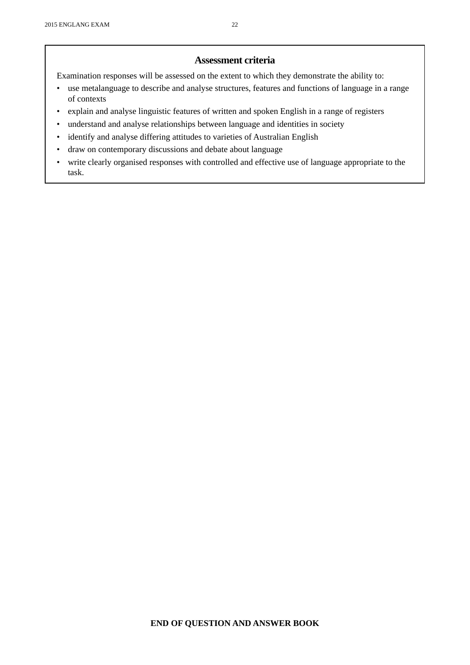#### **Assessment criteria**

Examination responses will be assessed on the extent to which they demonstrate the ability to:

- use metalanguage to describe and analyse structures, features and functions of language in a range of contexts
- explain and analyse linguistic features of written and spoken English in a range of registers
- understand and analyse relationships between language and identities in society
- identify and analyse differing attitudes to varieties of Australian English
- draw on contemporary discussions and debate about language
- write clearly organised responses with controlled and effective use of language appropriate to the task.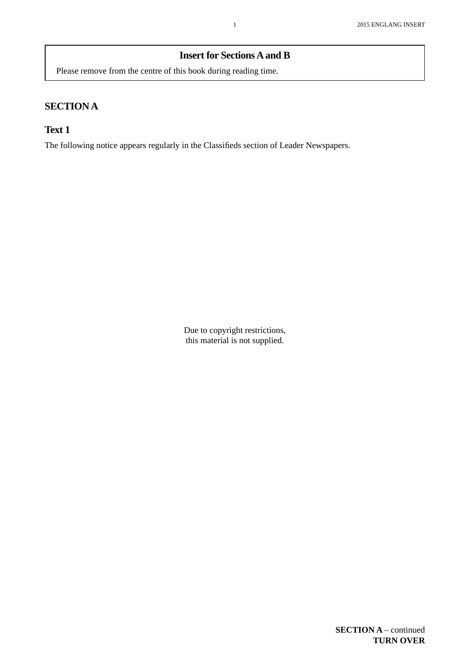#### **Insert for Sections A and B**

Please remove from the centre of this book during reading time.

# **SECTION A**

#### **Text 1**

The following notice appears regularly in the Classifieds section of Leader Newspapers.

Due to copyright restrictions, this material is not supplied.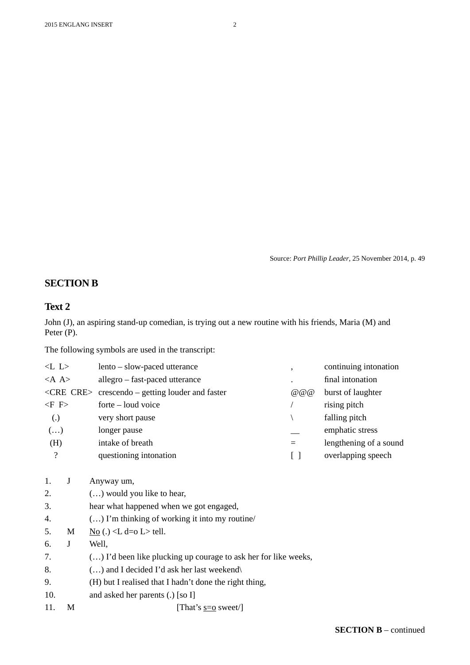Source: *Port Phillip Leader*, 25 November 2014, p. 49

#### **SECTION B**

#### **Text 2**

John (J), an aspiring stand-up comedian, is trying out a new routine with his friends, Maria (M) and Peter (P).

The following symbols are used in the transcript:

| < L L                    |   | lento – slow-paced utterance                                    | $\overline{\phantom{a}}$        | continuing intonation  |
|--------------------------|---|-----------------------------------------------------------------|---------------------------------|------------------------|
| $<$ A A>                 |   | allegro – fast-paced utterance                                  |                                 | final intonation       |
|                          |   | $\langle$ CRE CRE> crescendo – getting louder and faster        | @ @ @                           | burst of laughter      |
| $\langle$ F F>           |   | forte – loud voice                                              |                                 | rising pitch           |
| $\left( .\right)$        |   | very short pause                                                |                                 | falling pitch          |
| $\left( \ldots \right)$  |   | longer pause                                                    |                                 | emphatic stress        |
| (H)                      |   | intake of breath                                                | $=$                             | lengthening of a sound |
| $\overline{\mathcal{L}}$ |   | questioning intonation                                          | $\begin{bmatrix} \end{bmatrix}$ | overlapping speech     |
| 1.                       | J | Anyway um,                                                      |                                 |                        |
| 2.                       |   | $()$ would you like to hear,                                    |                                 |                        |
| 3.                       |   | hear what happened when we got engaged,                         |                                 |                        |
| 4.                       |   | $()$ I'm thinking of working it into my routine/                |                                 |                        |
| 5.                       | M | $\underline{No}$ (.) <l d="o" l=""> tell.</l>                   |                                 |                        |
| 6.                       | J | Well,                                                           |                                 |                        |
| 7.                       |   | () I'd been like plucking up courage to ask her for like weeks, |                                 |                        |
| 8.                       |   | $()$ and I decided I'd ask her last weekend $\langle$           |                                 |                        |
| 9.                       |   | (H) but I realised that I hadn't done the right thing,          |                                 |                        |
| 10.                      |   | and asked her parents (.) [so I]                                |                                 |                        |
| 11.                      | M | [That's $s=0$ sweet/]                                           |                                 |                        |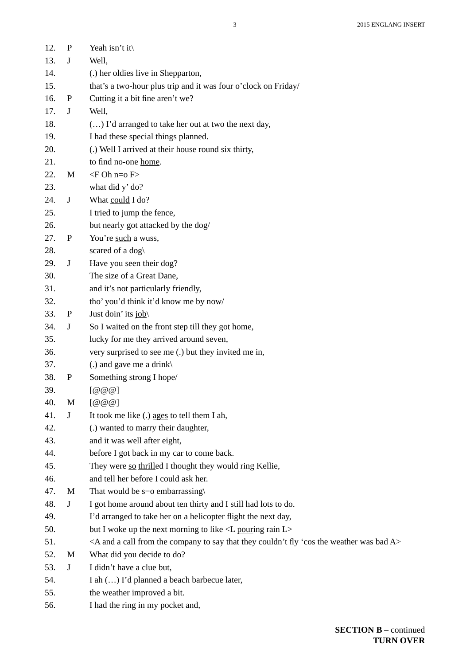| 12. | $\mathbf{P}$ | Yeah isn't it\                                                                                                                         |
|-----|--------------|----------------------------------------------------------------------------------------------------------------------------------------|
| 13. | J            | Well,                                                                                                                                  |
| 14. |              | (.) her oldies live in Shepparton,                                                                                                     |
| 15. |              | that's a two-hour plus trip and it was four o'clock on Friday/                                                                         |
| 16. | $\mathbf P$  | Cutting it a bit fine aren't we?                                                                                                       |
| 17. | $\mathbf J$  | Well,                                                                                                                                  |
| 18. |              | () I'd arranged to take her out at two the next day,                                                                                   |
| 19. |              | I had these special things planned.                                                                                                    |
| 20. |              | (.) Well I arrived at their house round six thirty,                                                                                    |
| 21. |              | to find no-one home.                                                                                                                   |
| 22. | M            | $\langle$ F Oh n=o F>                                                                                                                  |
| 23. |              | what did y' do?                                                                                                                        |
| 24. | $\bf J$      | What could I do?                                                                                                                       |
| 25. |              | I tried to jump the fence,                                                                                                             |
| 26. |              | but nearly got attacked by the dog/                                                                                                    |
| 27. | $\mathbf P$  | You're such a wuss,                                                                                                                    |
| 28. |              | scared of a dog                                                                                                                        |
| 29. | J            | Have you seen their dog?                                                                                                               |
| 30. |              | The size of a Great Dane,                                                                                                              |
| 31. |              | and it's not particularly friendly,                                                                                                    |
| 32. |              | tho' you'd think it'd know me by now/                                                                                                  |
| 33. | $\mathbf P$  | Just doin' its job                                                                                                                     |
| 34. | J            | So I waited on the front step till they got home,                                                                                      |
| 35. |              | lucky for me they arrived around seven,                                                                                                |
| 36. |              | very surprised to see me (.) but they invited me in,                                                                                   |
| 37. |              | (.) and gave me a drink $\langle$                                                                                                      |
| 38. | P            | Something strong I hope/                                                                                                               |
| 39. |              | $\lceil$ @ @ $\lceil$                                                                                                                  |
| 40. | M            | [@@@]                                                                                                                                  |
| 41. | J            | It took me like (.) ages to tell them I ah,                                                                                            |
| 42. |              | (.) wanted to marry their daughter,                                                                                                    |
| 43. |              | and it was well after eight,                                                                                                           |
| 44. |              | before I got back in my car to come back.                                                                                              |
| 45. |              | They were so thrilled I thought they would ring Kellie,                                                                                |
| 46. |              | and tell her before I could ask her.                                                                                                   |
| 47. | M            | That would be $s=0$ embarrassing                                                                                                       |
| 48. | $\mathbf J$  | I got home around about ten thirty and I still had lots to do.                                                                         |
| 49. |              | I'd arranged to take her on a helicopter flight the next day,                                                                          |
| 50. |              | but I woke up the next morning to like <l l="" pouring="" rain=""></l>                                                                 |
| 51. |              | <a 'cos="" a="" and="" bad="" call="" company="" couldn't="" fly="" from="" say="" that="" the="" they="" to="" was="" weather=""></a> |
| 52. | M            | What did you decide to do?                                                                                                             |
| 53. | $\bf J$      | I didn't have a clue but,                                                                                                              |
| 54. |              | I ah () I'd planned a beach barbecue later,                                                                                            |
| 55. |              | the weather improved a bit.                                                                                                            |
| 56. |              | I had the ring in my pocket and,                                                                                                       |
|     |              |                                                                                                                                        |